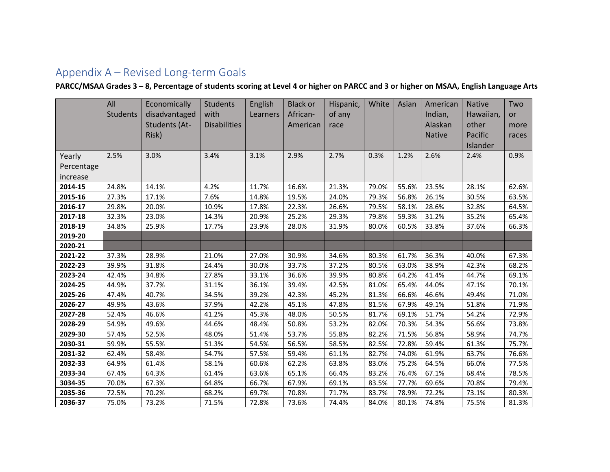# Appendix A – Revised Long-term Goals

### **PARCC/MSAA Grades 3 – 8, Percentage of students scoring at Level 4 or higher on PARCC and 3 or higher on MSAA, English Language Arts**

|            | All<br><b>Students</b> | Economically<br>disadvantaged<br><b>Students (At-</b><br>Risk) | <b>Students</b><br>with<br><b>Disabilities</b> | English<br>Learners | <b>Black or</b><br>African-<br>American | Hispanic,<br>of any<br>race | White | Asian | American<br>Indian,<br>Alaskan<br><b>Native</b> | <b>Native</b><br>Hawaiian,<br>other<br>Pacific<br>Islander | Two<br>or<br>more<br>races |
|------------|------------------------|----------------------------------------------------------------|------------------------------------------------|---------------------|-----------------------------------------|-----------------------------|-------|-------|-------------------------------------------------|------------------------------------------------------------|----------------------------|
| Yearly     | 2.5%                   | 3.0%                                                           | 3.4%                                           | 3.1%                | 2.9%                                    | 2.7%                        | 0.3%  | 1.2%  | 2.6%                                            | 2.4%                                                       | 0.9%                       |
| Percentage |                        |                                                                |                                                |                     |                                         |                             |       |       |                                                 |                                                            |                            |
| increase   |                        |                                                                |                                                |                     |                                         |                             |       |       |                                                 |                                                            |                            |
| 2014-15    | 24.8%                  | 14.1%                                                          | 4.2%                                           | 11.7%               | 16.6%                                   | 21.3%                       | 79.0% | 55.6% | 23.5%                                           | 28.1%                                                      | 62.6%                      |
| 2015-16    | 27.3%                  | 17.1%                                                          | 7.6%                                           | 14.8%               | 19.5%                                   | 24.0%                       | 79.3% | 56.8% | 26.1%                                           | 30.5%                                                      | 63.5%                      |
| 2016-17    | 29.8%                  | 20.0%                                                          | 10.9%                                          | 17.8%               | 22.3%                                   | 26.6%                       | 79.5% | 58.1% | 28.6%                                           | 32.8%                                                      | 64.5%                      |
| 2017-18    | 32.3%                  | 23.0%                                                          | 14.3%                                          | 20.9%               | 25.2%                                   | 29.3%                       | 79.8% | 59.3% | 31.2%                                           | 35.2%                                                      | 65.4%                      |
| 2018-19    | 34.8%                  | 25.9%                                                          | 17.7%                                          | 23.9%               | 28.0%                                   | 31.9%                       | 80.0% | 60.5% | 33.8%                                           | 37.6%                                                      | 66.3%                      |
| 2019-20    |                        |                                                                |                                                |                     |                                         |                             |       |       |                                                 |                                                            |                            |
| 2020-21    |                        |                                                                |                                                |                     |                                         |                             |       |       |                                                 |                                                            |                            |
| 2021-22    | 37.3%                  | 28.9%                                                          | 21.0%                                          | 27.0%               | 30.9%                                   | 34.6%                       | 80.3% | 61.7% | 36.3%                                           | 40.0%                                                      | 67.3%                      |
| 2022-23    | 39.9%                  | 31.8%                                                          | 24.4%                                          | 30.0%               | 33.7%                                   | 37.2%                       | 80.5% | 63.0% | 38.9%                                           | 42.3%                                                      | 68.2%                      |
| 2023-24    | 42.4%                  | 34.8%                                                          | 27.8%                                          | 33.1%               | 36.6%                                   | 39.9%                       | 80.8% | 64.2% | 41.4%                                           | 44.7%                                                      | 69.1%                      |
| 2024-25    | 44.9%                  | 37.7%                                                          | 31.1%                                          | 36.1%               | 39.4%                                   | 42.5%                       | 81.0% | 65.4% | 44.0%                                           | 47.1%                                                      | 70.1%                      |
| 2025-26    | 47.4%                  | 40.7%                                                          | 34.5%                                          | 39.2%               | 42.3%                                   | 45.2%                       | 81.3% | 66.6% | 46.6%                                           | 49.4%                                                      | 71.0%                      |
| 2026-27    | 49.9%                  | 43.6%                                                          | 37.9%                                          | 42.2%               | 45.1%                                   | 47.8%                       | 81.5% | 67.9% | 49.1%                                           | 51.8%                                                      | 71.9%                      |
| 2027-28    | 52.4%                  | 46.6%                                                          | 41.2%                                          | 45.3%               | 48.0%                                   | 50.5%                       | 81.7% | 69.1% | 51.7%                                           | 54.2%                                                      | 72.9%                      |
| 2028-29    | 54.9%                  | 49.6%                                                          | 44.6%                                          | 48.4%               | 50.8%                                   | 53.2%                       | 82.0% | 70.3% | 54.3%                                           | 56.6%                                                      | 73.8%                      |
| 2029-30    | 57.4%                  | 52.5%                                                          | 48.0%                                          | 51.4%               | 53.7%                                   | 55.8%                       | 82.2% | 71.5% | 56.8%                                           | 58.9%                                                      | 74.7%                      |
| 2030-31    | 59.9%                  | 55.5%                                                          | 51.3%                                          | 54.5%               | 56.5%                                   | 58.5%                       | 82.5% | 72.8% | 59.4%                                           | 61.3%                                                      | 75.7%                      |
| 2031-32    | 62.4%                  | 58.4%                                                          | 54.7%                                          | 57.5%               | 59.4%                                   | 61.1%                       | 82.7% | 74.0% | 61.9%                                           | 63.7%                                                      | 76.6%                      |
| 2032-33    | 64.9%                  | 61.4%                                                          | 58.1%                                          | 60.6%               | 62.2%                                   | 63.8%                       | 83.0% | 75.2% | 64.5%                                           | 66.0%                                                      | 77.5%                      |
| 2033-34    | 67.4%                  | 64.3%                                                          | 61.4%                                          | 63.6%               | 65.1%                                   | 66.4%                       | 83.2% | 76.4% | 67.1%                                           | 68.4%                                                      | 78.5%                      |
| 3034-35    | 70.0%                  | 67.3%                                                          | 64.8%                                          | 66.7%               | 67.9%                                   | 69.1%                       | 83.5% | 77.7% | 69.6%                                           | 70.8%                                                      | 79.4%                      |
| 2035-36    | 72.5%                  | 70.2%                                                          | 68.2%                                          | 69.7%               | 70.8%                                   | 71.7%                       | 83.7% | 78.9% | 72.2%                                           | 73.1%                                                      | 80.3%                      |
| 2036-37    | 75.0%                  | 73.2%                                                          | 71.5%                                          | 72.8%               | 73.6%                                   | 74.4%                       | 84.0% | 80.1% | 74.8%                                           | 75.5%                                                      | 81.3%                      |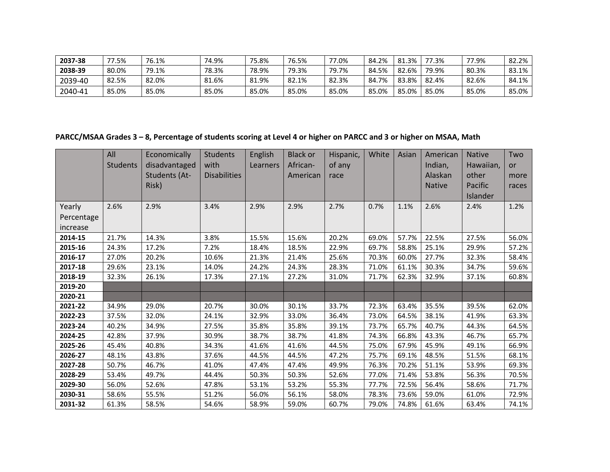| 2037-38 | 77.5% | 76.1% | 74.9% | 75.8% | 76.5% | 77.0% | 84.2% | 81.3% | 77.3% | 77.9% | 82.2% |
|---------|-------|-------|-------|-------|-------|-------|-------|-------|-------|-------|-------|
| 2038-39 | 80.0% | 79.1% | 78.3% | 78.9% | 79.3% | 79.7% | 84.5% | 82.6% | 79.9% | 80.3% | 83.1% |
| 2039-40 | 82.5% | 82.0% | 81.6% | 81.9% | 82.1% | 82.3% | 84.7% | 83.8% | 82.4% | 82.6% | 84.1% |
| 2040-41 | 85.0% | 85.0% | 85.0% | 85.0% | 85.0% | 85.0% | 85.0% | 85.0% | 85.0% | 85.0% | 85.0% |

**PARCC/MSAA Grades 3 – 8, Percentage of students scoring at Level 4 or higher on PARCC and 3 or higher on MSAA, Math**

| Yearly     | All<br><b>Students</b><br>2.6% | Economically<br>disadvantaged<br><b>Students (At-</b><br>Risk)<br>2.9% | <b>Students</b><br>with<br><b>Disabilities</b><br>3.4% | English<br>Learners<br>2.9% | <b>Black or</b><br>African-<br>American<br>2.9% | Hispanic,<br>of any<br>race<br>2.7% | White<br>0.7% | Asian<br>1.1% | American<br>Indian,<br>Alaskan<br><b>Native</b><br>2.6% | <b>Native</b><br>Hawaiian,<br>other<br>Pacific<br>Islander<br>2.4% | Two<br>or<br>more<br>races<br>1.2% |
|------------|--------------------------------|------------------------------------------------------------------------|--------------------------------------------------------|-----------------------------|-------------------------------------------------|-------------------------------------|---------------|---------------|---------------------------------------------------------|--------------------------------------------------------------------|------------------------------------|
| Percentage |                                |                                                                        |                                                        |                             |                                                 |                                     |               |               |                                                         |                                                                    |                                    |
| increase   |                                |                                                                        |                                                        |                             |                                                 |                                     |               |               |                                                         |                                                                    |                                    |
| 2014-15    | 21.7%                          | 14.3%                                                                  | 3.8%                                                   | 15.5%                       | 15.6%                                           | 20.2%                               | 69.0%         | 57.7%         | 22.5%                                                   | 27.5%                                                              | 56.0%                              |
| 2015-16    | 24.3%                          | 17.2%                                                                  | 7.2%                                                   | 18.4%                       | 18.5%                                           | 22.9%                               | 69.7%         | 58.8%         | 25.1%                                                   | 29.9%                                                              | 57.2%                              |
| 2016-17    | 27.0%                          | 20.2%                                                                  | 10.6%                                                  | 21.3%                       | 21.4%                                           | 25.6%                               | 70.3%         | 60.0%         | 27.7%                                                   | 32.3%                                                              | 58.4%                              |
| 2017-18    | 29.6%                          | 23.1%                                                                  | 14.0%                                                  | 24.2%                       | 24.3%                                           | 28.3%                               | 71.0%         | 61.1%         | 30.3%                                                   | 34.7%                                                              | 59.6%                              |
| 2018-19    | 32.3%                          | 26.1%                                                                  | 17.3%                                                  | 27.1%                       | 27.2%                                           | 31.0%                               | 71.7%         | 62.3%         | 32.9%                                                   | 37.1%                                                              | 60.8%                              |
| 2019-20    |                                |                                                                        |                                                        |                             |                                                 |                                     |               |               |                                                         |                                                                    |                                    |
| 2020-21    |                                |                                                                        |                                                        |                             |                                                 |                                     |               |               |                                                         |                                                                    |                                    |
| 2021-22    | 34.9%                          | 29.0%                                                                  | 20.7%                                                  | 30.0%                       | 30.1%                                           | 33.7%                               | 72.3%         | 63.4%         | 35.5%                                                   | 39.5%                                                              | 62.0%                              |
| 2022-23    | 37.5%                          | 32.0%                                                                  | 24.1%                                                  | 32.9%                       | 33.0%                                           | 36.4%                               | 73.0%         | 64.5%         | 38.1%                                                   | 41.9%                                                              | 63.3%                              |
| 2023-24    | 40.2%                          | 34.9%                                                                  | 27.5%                                                  | 35.8%                       | 35.8%                                           | 39.1%                               | 73.7%         | 65.7%         | 40.7%                                                   | 44.3%                                                              | 64.5%                              |
| 2024-25    | 42.8%                          | 37.9%                                                                  | 30.9%                                                  | 38.7%                       | 38.7%                                           | 41.8%                               | 74.3%         | 66.8%         | 43.3%                                                   | 46.7%                                                              | 65.7%                              |
| 2025-26    | 45.4%                          | 40.8%                                                                  | 34.3%                                                  | 41.6%                       | 41.6%                                           | 44.5%                               | 75.0%         | 67.9%         | 45.9%                                                   | 49.1%                                                              | 66.9%                              |
| 2026-27    | 48.1%                          | 43.8%                                                                  | 37.6%                                                  | 44.5%                       | 44.5%                                           | 47.2%                               | 75.7%         | 69.1%         | 48.5%                                                   | 51.5%                                                              | 68.1%                              |
| 2027-28    | 50.7%                          | 46.7%                                                                  | 41.0%                                                  | 47.4%                       | 47.4%                                           | 49.9%                               | 76.3%         | 70.2%         | 51.1%                                                   | 53.9%                                                              | 69.3%                              |
| 2028-29    | 53.4%                          | 49.7%                                                                  | 44.4%                                                  | 50.3%                       | 50.3%                                           | 52.6%                               | 77.0%         | 71.4%         | 53.8%                                                   | 56.3%                                                              | 70.5%                              |
| 2029-30    | 56.0%                          | 52.6%                                                                  | 47.8%                                                  | 53.1%                       | 53.2%                                           | 55.3%                               | 77.7%         | 72.5%         | 56.4%                                                   | 58.6%                                                              | 71.7%                              |
| 2030-31    | 58.6%                          | 55.5%                                                                  | 51.2%                                                  | 56.0%                       | 56.1%                                           | 58.0%                               | 78.3%         | 73.6%         | 59.0%                                                   | 61.0%                                                              | 72.9%                              |
| 2031-32    | 61.3%                          | 58.5%                                                                  | 54.6%                                                  | 58.9%                       | 59.0%                                           | 60.7%                               | 79.0%         | 74.8%         | 61.6%                                                   | 63.4%                                                              | 74.1%                              |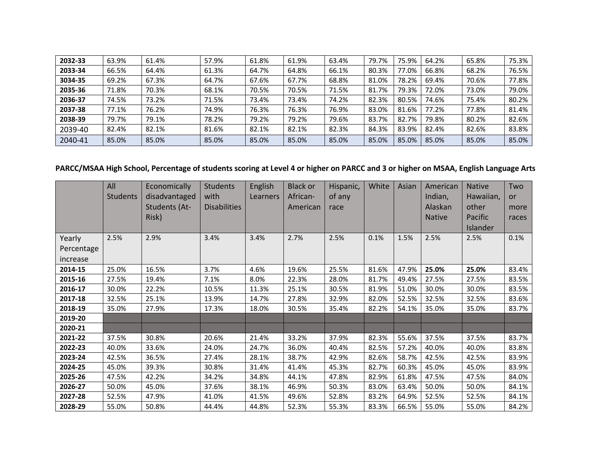| 2032-33 | 63.9% | 61.4% | 57.9% | 61.8% | 61.9% | 63.4% | 79.7% | 75.9% | 64.2% | 65.8% | 75.3% |
|---------|-------|-------|-------|-------|-------|-------|-------|-------|-------|-------|-------|
| 2033-34 | 66.5% | 64.4% | 61.3% | 64.7% | 64.8% | 66.1% | 80.3% | 77.0% | 66.8% | 68.2% | 76.5% |
| 3034-35 | 69.2% | 67.3% | 64.7% | 67.6% | 67.7% | 68.8% | 81.0% | 78.2% | 69.4% | 70.6% | 77.8% |
| 2035-36 | 71.8% | 70.3% | 68.1% | 70.5% | 70.5% | 71.5% | 81.7% | 79.3% | 72.0% | 73.0% | 79.0% |
| 2036-37 | 74.5% | 73.2% | 71.5% | 73.4% | 73.4% | 74.2% | 82.3% | 80.5% | 74.6% | 75.4% | 80.2% |
| 2037-38 | 77.1% | 76.2% | 74.9% | 76.3% | 76.3% | 76.9% | 83.0% | 81.6% | 77.2% | 77.8% | 81.4% |
| 2038-39 | 79.7% | 79.1% | 78.2% | 79.2% | 79.2% | 79.6% | 83.7% | 82.7% | 79.8% | 80.2% | 82.6% |
| 2039-40 | 82.4% | 82.1% | 81.6% | 82.1% | 82.1% | 82.3% | 84.3% | 83.9% | 82.4% | 82.6% | 83.8% |
| 2040-41 | 85.0% | 85.0% | 85.0% | 85.0% | 85.0% | 85.0% | 85.0% | 85.0% | 85.0% | 85.0% | 85.0% |

#### **PARCC/MSAA High School, Percentage of students scoring at Level 4 or higher on PARCC and 3 or higher on MSAA, English Language Arts**

|            | All             | Economically         | <b>Students</b>     | English  | <b>Black or</b> | Hispanic, | White | Asian | American      | <b>Native</b> | Two       |
|------------|-----------------|----------------------|---------------------|----------|-----------------|-----------|-------|-------|---------------|---------------|-----------|
|            | <b>Students</b> | disadvantaged        | with                | Learners | African-        | of any    |       |       | Indian,       | Hawaiian,     | <b>or</b> |
|            |                 | <b>Students (At-</b> | <b>Disabilities</b> |          | American        | race      |       |       | Alaskan       | other         | more      |
|            |                 | Risk)                |                     |          |                 |           |       |       | <b>Native</b> | Pacific       | races     |
|            |                 |                      |                     |          |                 |           |       |       |               | Islander      |           |
| Yearly     | 2.5%            | 2.9%                 | 3.4%                | 3.4%     | 2.7%            | 2.5%      | 0.1%  | 1.5%  | 2.5%          | 2.5%          | 0.1%      |
| Percentage |                 |                      |                     |          |                 |           |       |       |               |               |           |
| increase   |                 |                      |                     |          |                 |           |       |       |               |               |           |
| 2014-15    | 25.0%           | 16.5%                | 3.7%                | 4.6%     | 19.6%           | 25.5%     | 81.6% | 47.9% | 25.0%         | 25.0%         | 83.4%     |
| 2015-16    | 27.5%           | 19.4%                | 7.1%                | 8.0%     | 22.3%           | 28.0%     | 81.7% | 49.4% | 27.5%         | 27.5%         | 83.5%     |
| 2016-17    | 30.0%           | 22.2%                | 10.5%               | 11.3%    | 25.1%           | 30.5%     | 81.9% | 51.0% | 30.0%         | 30.0%         | 83.5%     |
| 2017-18    | 32.5%           | 25.1%                | 13.9%               | 14.7%    | 27.8%           | 32.9%     | 82.0% | 52.5% | 32.5%         | 32.5%         | 83.6%     |
| 2018-19    | 35.0%           | 27.9%                | 17.3%               | 18.0%    | 30.5%           | 35.4%     | 82.2% | 54.1% | 35.0%         | 35.0%         | 83.7%     |
| 2019-20    |                 |                      |                     |          |                 |           |       |       |               |               |           |
| 2020-21    |                 |                      |                     |          |                 |           |       |       |               |               |           |
| 2021-22    | 37.5%           | 30.8%                | 20.6%               | 21.4%    | 33.2%           | 37.9%     | 82.3% | 55.6% | 37.5%         | 37.5%         | 83.7%     |
| 2022-23    | 40.0%           | 33.6%                | 24.0%               | 24.7%    | 36.0%           | 40.4%     | 82.5% | 57.2% | 40.0%         | 40.0%         | 83.8%     |
| 2023-24    | 42.5%           | 36.5%                | 27.4%               | 28.1%    | 38.7%           | 42.9%     | 82.6% | 58.7% | 42.5%         | 42.5%         | 83.9%     |
| 2024-25    | 45.0%           | 39.3%                | 30.8%               | 31.4%    | 41.4%           | 45.3%     | 82.7% | 60.3% | 45.0%         | 45.0%         | 83.9%     |
| 2025-26    | 47.5%           | 42.2%                | 34.2%               | 34.8%    | 44.1%           | 47.8%     | 82.9% | 61.8% | 47.5%         | 47.5%         | 84.0%     |
| 2026-27    | 50.0%           | 45.0%                | 37.6%               | 38.1%    | 46.9%           | 50.3%     | 83.0% | 63.4% | 50.0%         | 50.0%         | 84.1%     |
| 2027-28    | 52.5%           | 47.9%                | 41.0%               | 41.5%    | 49.6%           | 52.8%     | 83.2% | 64.9% | 52.5%         | 52.5%         | 84.1%     |
| 2028-29    | 55.0%           | 50.8%                | 44.4%               | 44.8%    | 52.3%           | 55.3%     | 83.3% | 66.5% | 55.0%         | 55.0%         | 84.2%     |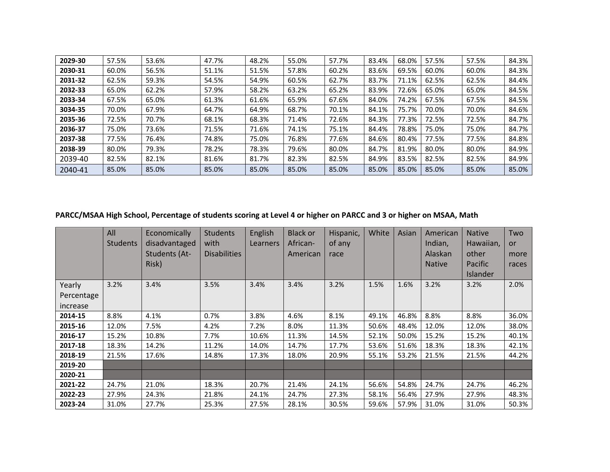| 2029-30 | 57.5% | 53.6% | 47.7% | 48.2% | 55.0% | 57.7% | 83.4% | 68.0% | 57.5% | 57.5% | 84.3% |
|---------|-------|-------|-------|-------|-------|-------|-------|-------|-------|-------|-------|
| 2030-31 | 60.0% | 56.5% | 51.1% | 51.5% | 57.8% | 60.2% | 83.6% | 69.5% | 60.0% | 60.0% | 84.3% |
| 2031-32 | 62.5% | 59.3% | 54.5% | 54.9% | 60.5% | 62.7% | 83.7% | 71.1% | 62.5% | 62.5% | 84.4% |
| 2032-33 | 65.0% | 62.2% | 57.9% | 58.2% | 63.2% | 65.2% | 83.9% | 72.6% | 65.0% | 65.0% | 84.5% |
| 2033-34 | 67.5% | 65.0% | 61.3% | 61.6% | 65.9% | 67.6% | 84.0% | 74.2% | 67.5% | 67.5% | 84.5% |
| 3034-35 | 70.0% | 67.9% | 64.7% | 64.9% | 68.7% | 70.1% | 84.1% | 75.7% | 70.0% | 70.0% | 84.6% |
| 2035-36 | 72.5% | 70.7% | 68.1% | 68.3% | 71.4% | 72.6% | 84.3% | 77.3% | 72.5% | 72.5% | 84.7% |
| 2036-37 | 75.0% | 73.6% | 71.5% | 71.6% | 74.1% | 75.1% | 84.4% | 78.8% | 75.0% | 75.0% | 84.7% |
| 2037-38 | 77.5% | 76.4% | 74.8% | 75.0% | 76.8% | 77.6% | 84.6% | 80.4% | 77.5% | 77.5% | 84.8% |
| 2038-39 | 80.0% | 79.3% | 78.2% | 78.3% | 79.6% | 80.0% | 84.7% | 81.9% | 80.0% | 80.0% | 84.9% |
| 2039-40 | 82.5% | 82.1% | 81.6% | 81.7% | 82.3% | 82.5% | 84.9% | 83.5% | 82.5% | 82.5% | 84.9% |
| 2040-41 | 85.0% | 85.0% | 85.0% | 85.0% | 85.0% | 85.0% | 85.0% | 85.0% | 85.0% | 85.0% | 85.0% |

# **PARCC/MSAA High School, Percentage of students scoring at Level 4 or higher on PARCC and 3 or higher on MSAA, Math**

|                                  | All<br><b>Students</b> | Economically<br>disadvantaged<br>Students (At-<br>Risk) | <b>Students</b><br>with<br><b>Disabilities</b> | English<br>Learners | <b>Black or</b><br>African-<br>American | Hispanic,<br>of any<br>race | White | Asian | American<br>Indian,<br><b>Alaskan</b><br><b>Native</b> | <b>Native</b><br>Hawaiian,<br>other<br>Pacific | Two<br><b>or</b><br>more<br>races |
|----------------------------------|------------------------|---------------------------------------------------------|------------------------------------------------|---------------------|-----------------------------------------|-----------------------------|-------|-------|--------------------------------------------------------|------------------------------------------------|-----------------------------------|
|                                  |                        |                                                         |                                                |                     |                                         |                             |       |       |                                                        | <b>Islander</b>                                |                                   |
| Yearly<br>Percentage<br>increase | 3.2%                   | 3.4%                                                    | 3.5%                                           | 3.4%                | 3.4%                                    | 3.2%                        | 1.5%  | 1.6%  | 3.2%                                                   | 3.2%                                           | 2.0%                              |
| 2014-15                          | 8.8%                   | 4.1%                                                    | 0.7%                                           | 3.8%                | 4.6%                                    | 8.1%                        | 49.1% | 46.8% | 8.8%                                                   | 8.8%                                           | 36.0%                             |
| 2015-16                          | 12.0%                  | 7.5%                                                    | 4.2%                                           | 7.2%                | 8.0%                                    | 11.3%                       | 50.6% | 48.4% | 12.0%                                                  | 12.0%                                          | 38.0%                             |
| 2016-17                          | 15.2%                  | 10.8%                                                   | 7.7%                                           | 10.6%               | 11.3%                                   | 14.5%                       | 52.1% | 50.0% | 15.2%                                                  | 15.2%                                          | 40.1%                             |
| 2017-18                          | 18.3%                  | 14.2%                                                   | 11.2%                                          | 14.0%               | 14.7%                                   | 17.7%                       | 53.6% | 51.6% | 18.3%                                                  | 18.3%                                          | 42.1%                             |
| 2018-19                          | 21.5%                  | 17.6%                                                   | 14.8%                                          | 17.3%               | 18.0%                                   | 20.9%                       | 55.1% | 53.2% | 21.5%                                                  | 21.5%                                          | 44.2%                             |
| 2019-20                          |                        |                                                         |                                                |                     |                                         |                             |       |       |                                                        |                                                |                                   |
| 2020-21                          |                        |                                                         |                                                |                     |                                         |                             |       |       |                                                        |                                                |                                   |
| 2021-22                          | 24.7%                  | 21.0%                                                   | 18.3%                                          | 20.7%               | 21.4%                                   | 24.1%                       | 56.6% | 54.8% | 24.7%                                                  | 24.7%                                          | 46.2%                             |
| 2022-23                          | 27.9%                  | 24.3%                                                   | 21.8%                                          | 24.1%               | 24.7%                                   | 27.3%                       | 58.1% | 56.4% | 27.9%                                                  | 27.9%                                          | 48.3%                             |
| 2023-24                          | 31.0%                  | 27.7%                                                   | 25.3%                                          | 27.5%               | 28.1%                                   | 30.5%                       | 59.6% | 57.9% | 31.0%                                                  | 31.0%                                          | 50.3%                             |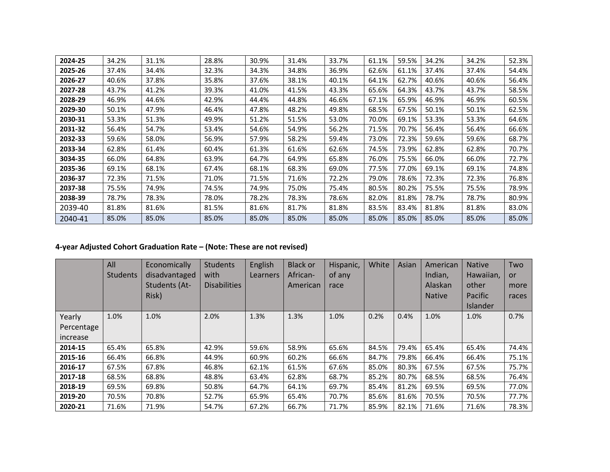| 2024-25 | 34.2% | 31.1% | 28.8% | 30.9% | 31.4% | 33.7% | 61.1% | 59.5% | 34.2% | 34.2% | 52.3% |
|---------|-------|-------|-------|-------|-------|-------|-------|-------|-------|-------|-------|
| 2025-26 | 37.4% | 34.4% | 32.3% | 34.3% | 34.8% | 36.9% | 62.6% | 61.1% | 37.4% | 37.4% | 54.4% |
| 2026-27 | 40.6% | 37.8% | 35.8% | 37.6% | 38.1% | 40.1% | 64.1% | 62.7% | 40.6% | 40.6% | 56.4% |
| 2027-28 | 43.7% | 41.2% | 39.3% | 41.0% | 41.5% | 43.3% | 65.6% | 64.3% | 43.7% | 43.7% | 58.5% |
| 2028-29 | 46.9% | 44.6% | 42.9% | 44.4% | 44.8% | 46.6% | 67.1% | 65.9% | 46.9% | 46.9% | 60.5% |
| 2029-30 | 50.1% | 47.9% | 46.4% | 47.8% | 48.2% | 49.8% | 68.5% | 67.5% | 50.1% | 50.1% | 62.5% |
| 2030-31 | 53.3% | 51.3% | 49.9% | 51.2% | 51.5% | 53.0% | 70.0% | 69.1% | 53.3% | 53.3% | 64.6% |
| 2031-32 | 56.4% | 54.7% | 53.4% | 54.6% | 54.9% | 56.2% | 71.5% | 70.7% | 56.4% | 56.4% | 66.6% |
| 2032-33 | 59.6% | 58.0% | 56.9% | 57.9% | 58.2% | 59.4% | 73.0% | 72.3% | 59.6% | 59.6% | 68.7% |
| 2033-34 | 62.8% | 61.4% | 60.4% | 61.3% | 61.6% | 62.6% | 74.5% | 73.9% | 62.8% | 62.8% | 70.7% |
| 3034-35 | 66.0% | 64.8% | 63.9% | 64.7% | 64.9% | 65.8% | 76.0% | 75.5% | 66.0% | 66.0% | 72.7% |
| 2035-36 | 69.1% | 68.1% | 67.4% | 68.1% | 68.3% | 69.0% | 77.5% | 77.0% | 69.1% | 69.1% | 74.8% |
| 2036-37 | 72.3% | 71.5% | 71.0% | 71.5% | 71.6% | 72.2% | 79.0% | 78.6% | 72.3% | 72.3% | 76.8% |
| 2037-38 | 75.5% | 74.9% | 74.5% | 74.9% | 75.0% | 75.4% | 80.5% | 80.2% | 75.5% | 75.5% | 78.9% |
| 2038-39 | 78.7% | 78.3% | 78.0% | 78.2% | 78.3% | 78.6% | 82.0% | 81.8% | 78.7% | 78.7% | 80.9% |
| 2039-40 | 81.8% | 81.6% | 81.5% | 81.6% | 81.7% | 81.8% | 83.5% | 83.4% | 81.8% | 81.8% | 83.0% |
| 2040-41 | 85.0% | 85.0% | 85.0% | 85.0% | 85.0% | 85.0% | 85.0% | 85.0% | 85.0% | 85.0% | 85.0% |

# **4-year Adjusted Cohort Graduation Rate – (Note: These are not revised)**

|            | All             | Economically         | <b>Students</b>     | English  | <b>Black or</b> | Hispanic, | White | Asian | American       | <b>Native</b> | Two   |
|------------|-----------------|----------------------|---------------------|----------|-----------------|-----------|-------|-------|----------------|---------------|-------|
|            | <b>Students</b> | disadvantaged        | with                | Learners | African-        | of any    |       |       | Indian,        | Hawaiian,     | or    |
|            |                 | <b>Students (At-</b> | <b>Disabilities</b> |          | American        | race      |       |       | <b>Alaskan</b> | other         | more  |
|            |                 | Risk)                |                     |          |                 |           |       |       | <b>Native</b>  | Pacific       | races |
|            |                 |                      |                     |          |                 |           |       |       |                | Islander      |       |
| Yearly     | 1.0%            | 1.0%                 | 2.0%                | 1.3%     | 1.3%            | 1.0%      | 0.2%  | 0.4%  | 1.0%           | 1.0%          | 0.7%  |
| Percentage |                 |                      |                     |          |                 |           |       |       |                |               |       |
| increase   |                 |                      |                     |          |                 |           |       |       |                |               |       |
| 2014-15    | 65.4%           | 65.8%                | 42.9%               | 59.6%    | 58.9%           | 65.6%     | 84.5% | 79.4% | 65.4%          | 65.4%         | 74.4% |
| 2015-16    | 66.4%           | 66.8%                | 44.9%               | 60.9%    | 60.2%           | 66.6%     | 84.7% | 79.8% | 66.4%          | 66.4%         | 75.1% |
| 2016-17    | 67.5%           | 67.8%                | 46.8%               | 62.1%    | 61.5%           | 67.6%     | 85.0% | 80.3% | 67.5%          | 67.5%         | 75.7% |
| 2017-18    | 68.5%           | 68.8%                | 48.8%               | 63.4%    | 62.8%           | 68.7%     | 85.2% | 80.7% | 68.5%          | 68.5%         | 76.4% |
| 2018-19    | 69.5%           | 69.8%                | 50.8%               | 64.7%    | 64.1%           | 69.7%     | 85.4% | 81.2% | 69.5%          | 69.5%         | 77.0% |
| 2019-20    | 70.5%           | 70.8%                | 52.7%               | 65.9%    | 65.4%           | 70.7%     | 85.6% | 81.6% | 70.5%          | 70.5%         | 77.7% |
| 2020-21    | 71.6%           | 71.9%                | 54.7%               | 67.2%    | 66.7%           | 71.7%     | 85.9% | 82.1% | 71.6%          | 71.6%         | 78.3% |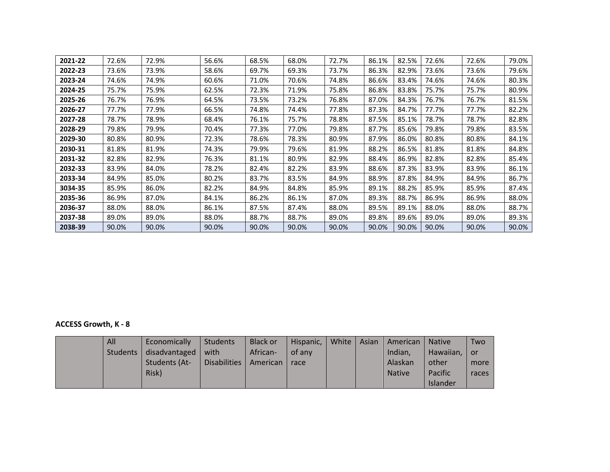| 2021-22 | 72.6% | 72.9% | 56.6% | 68.5% | 68.0% | 72.7% | 86.1% | 82.5% | 72.6% | 72.6% | 79.0% |
|---------|-------|-------|-------|-------|-------|-------|-------|-------|-------|-------|-------|
| 2022-23 | 73.6% | 73.9% | 58.6% | 69.7% | 69.3% | 73.7% | 86.3% | 82.9% | 73.6% | 73.6% | 79.6% |
| 2023-24 | 74.6% | 74.9% | 60.6% | 71.0% | 70.6% | 74.8% | 86.6% | 83.4% | 74.6% | 74.6% | 80.3% |
| 2024-25 | 75.7% | 75.9% | 62.5% | 72.3% | 71.9% | 75.8% | 86.8% | 83.8% | 75.7% | 75.7% | 80.9% |
| 2025-26 | 76.7% | 76.9% | 64.5% | 73.5% | 73.2% | 76.8% | 87.0% | 84.3% | 76.7% | 76.7% | 81.5% |
| 2026-27 | 77.7% | 77.9% | 66.5% | 74.8% | 74.4% | 77.8% | 87.3% | 84.7% | 77.7% | 77.7% | 82.2% |
| 2027-28 | 78.7% | 78.9% | 68.4% | 76.1% | 75.7% | 78.8% | 87.5% | 85.1% | 78.7% | 78.7% | 82.8% |
| 2028-29 | 79.8% | 79.9% | 70.4% | 77.3% | 77.0% | 79.8% | 87.7% | 85.6% | 79.8% | 79.8% | 83.5% |
| 2029-30 | 80.8% | 80.9% | 72.3% | 78.6% | 78.3% | 80.9% | 87.9% | 86.0% | 80.8% | 80.8% | 84.1% |
| 2030-31 | 81.8% | 81.9% | 74.3% | 79.9% | 79.6% | 81.9% | 88.2% | 86.5% | 81.8% | 81.8% | 84.8% |
| 2031-32 | 82.8% | 82.9% | 76.3% | 81.1% | 80.9% | 82.9% | 88.4% | 86.9% | 82.8% | 82.8% | 85.4% |
| 2032-33 | 83.9% | 84.0% | 78.2% | 82.4% | 82.2% | 83.9% | 88.6% | 87.3% | 83.9% | 83.9% | 86.1% |
| 2033-34 | 84.9% | 85.0% | 80.2% | 83.7% | 83.5% | 84.9% | 88.9% | 87.8% | 84.9% | 84.9% | 86.7% |
| 3034-35 | 85.9% | 86.0% | 82.2% | 84.9% | 84.8% | 85.9% | 89.1% | 88.2% | 85.9% | 85.9% | 87.4% |
| 2035-36 | 86.9% | 87.0% | 84.1% | 86.2% | 86.1% | 87.0% | 89.3% | 88.7% | 86.9% | 86.9% | 88.0% |
| 2036-37 | 88.0% | 88.0% | 86.1% | 87.5% | 87.4% | 88.0% | 89.5% | 89.1% | 88.0% | 88.0% | 88.7% |
| 2037-38 | 89.0% | 89.0% | 88.0% | 88.7% | 88.7% | 89.0% | 89.8% | 89.6% | 89.0% | 89.0% | 89.3% |
| 2038-39 | 90.0% | 90.0% | 90.0% | 90.0% | 90.0% | 90.0% | 90.0% | 90.0% | 90.0% | 90.0% | 90.0% |

#### **ACCESS Growth, K - 8**

| <b>All</b> | Economically              | Students            | Black or        | Hispanic, | White   Asian | American      | <b>Native</b>  | Two   |
|------------|---------------------------|---------------------|-----------------|-----------|---------------|---------------|----------------|-------|
| Students   | disadvantaged $\parallel$ | with                | African-        | of any    |               | Indian.       | Hawaiian,   or |       |
|            | <b>Students (At-</b>      | <b>Disabilities</b> | American   race |           |               | Alaskan       | other          | more  |
|            | Risk)                     |                     |                 |           |               | <b>Native</b> | Pacific        | races |
|            |                           |                     |                 |           |               |               | Islander       |       |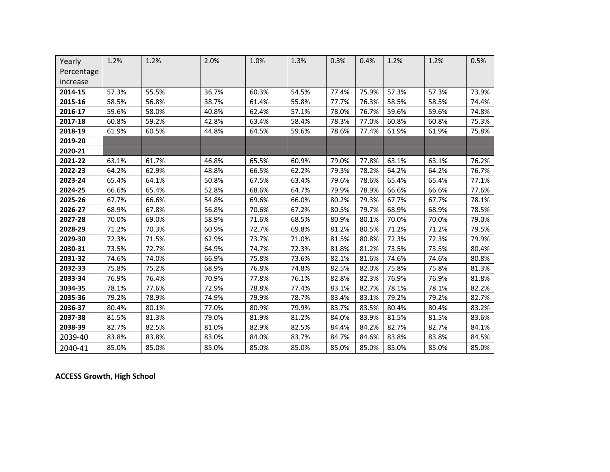| Yearly     | 1.2%  | 1.2%  | 2.0%  | 1.0%  | 1.3%  | 0.3%  | 0.4%  | 1.2%  | 1.2%  | 0.5%  |
|------------|-------|-------|-------|-------|-------|-------|-------|-------|-------|-------|
| Percentage |       |       |       |       |       |       |       |       |       |       |
| increase   |       |       |       |       |       |       |       |       |       |       |
| 2014-15    | 57.3% | 55.5% | 36.7% | 60.3% | 54.5% | 77.4% | 75.9% | 57.3% | 57.3% | 73.9% |
| 2015-16    | 58.5% | 56.8% | 38.7% | 61.4% | 55.8% | 77.7% | 76.3% | 58.5% | 58.5% | 74.4% |
| 2016-17    | 59.6% | 58.0% | 40.8% | 62.4% | 57.1% | 78.0% | 76.7% | 59.6% | 59.6% | 74.8% |
| 2017-18    | 60.8% | 59.2% | 42.8% | 63.4% | 58.4% | 78.3% | 77.0% | 60.8% | 60.8% | 75.3% |
| 2018-19    | 61.9% | 60.5% | 44.8% | 64.5% | 59.6% | 78.6% | 77.4% | 61.9% | 61.9% | 75.8% |
| 2019-20    |       |       |       |       |       |       |       |       |       |       |
| 2020-21    |       |       |       |       |       |       |       |       |       |       |
| 2021-22    | 63.1% | 61.7% | 46.8% | 65.5% | 60.9% | 79.0% | 77.8% | 63.1% | 63.1% | 76.2% |
| 2022-23    | 64.2% | 62.9% | 48.8% | 66.5% | 62.2% | 79.3% | 78.2% | 64.2% | 64.2% | 76.7% |
| 2023-24    | 65.4% | 64.1% | 50.8% | 67.5% | 63.4% | 79.6% | 78.6% | 65.4% | 65.4% | 77.1% |
| 2024-25    | 66.6% | 65.4% | 52.8% | 68.6% | 64.7% | 79.9% | 78.9% | 66.6% | 66.6% | 77.6% |
| 2025-26    | 67.7% | 66.6% | 54.8% | 69.6% | 66.0% | 80.2% | 79.3% | 67.7% | 67.7% | 78.1% |
| 2026-27    | 68.9% | 67.8% | 56.8% | 70.6% | 67.2% | 80.5% | 79.7% | 68.9% | 68.9% | 78.5% |
| 2027-28    | 70.0% | 69.0% | 58.9% | 71.6% | 68.5% | 80.9% | 80.1% | 70.0% | 70.0% | 79.0% |
| 2028-29    | 71.2% | 70.3% | 60.9% | 72.7% | 69.8% | 81.2% | 80.5% | 71.2% | 71.2% | 79.5% |
| 2029-30    | 72.3% | 71.5% | 62.9% | 73.7% | 71.0% | 81.5% | 80.8% | 72.3% | 72.3% | 79.9% |
| 2030-31    | 73.5% | 72.7% | 64.9% | 74.7% | 72.3% | 81.8% | 81.2% | 73.5% | 73.5% | 80.4% |
| 2031-32    | 74.6% | 74.0% | 66.9% | 75.8% | 73.6% | 82.1% | 81.6% | 74.6% | 74.6% | 80.8% |
| 2032-33    | 75.8% | 75.2% | 68.9% | 76.8% | 74.8% | 82.5% | 82.0% | 75.8% | 75.8% | 81.3% |
| 2033-34    | 76.9% | 76.4% | 70.9% | 77.8% | 76.1% | 82.8% | 82.3% | 76.9% | 76.9% | 81.8% |
| 3034-35    | 78.1% | 77.6% | 72.9% | 78.8% | 77.4% | 83.1% | 82.7% | 78.1% | 78.1% | 82.2% |
| 2035-36    | 79.2% | 78.9% | 74.9% | 79.9% | 78.7% | 83.4% | 83.1% | 79.2% | 79.2% | 82.7% |
| 2036-37    | 80.4% | 80.1% | 77.0% | 80.9% | 79.9% | 83.7% | 83.5% | 80.4% | 80.4% | 83.2% |
| 2037-38    | 81.5% | 81.3% | 79.0% | 81.9% | 81.2% | 84.0% | 83.9% | 81.5% | 81.5% | 83.6% |
| 2038-39    | 82.7% | 82.5% | 81.0% | 82.9% | 82.5% | 84.4% | 84.2% | 82.7% | 82.7% | 84.1% |
| 2039-40    | 83.8% | 83.8% | 83.0% | 84.0% | 83.7% | 84.7% | 84.6% | 83.8% | 83.8% | 84.5% |
| 2040-41    | 85.0% | 85.0% | 85.0% | 85.0% | 85.0% | 85.0% | 85.0% | 85.0% | 85.0% | 85.0% |

**ACCESS Growth, High School**